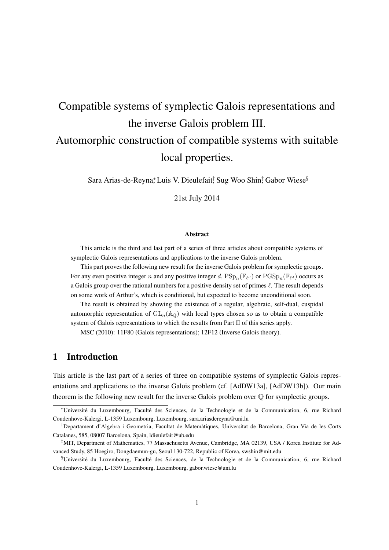# Compatible systems of symplectic Galois representations and the inverse Galois problem III. Automorphic construction of compatible systems with suitable local properties.

Sara Arias-de-Reyna*<sup>∗</sup>* , Luis V. Dieulefait*†* , Sug Woo Shin*‡* , Gabor Wiese*§*

21st July 2014

#### Abstract

This article is the third and last part of a series of three articles about compatible systems of symplectic Galois representations and applications to the inverse Galois problem.

This part proves the following new result for the inverse Galois problem for symplectic groups. For any even positive integer *n* and any positive integer *d*,  $PSp_n(\mathbb{F}_{\ell^d})$  or  $PGSp_n(\mathbb{F}_{\ell^d})$  occurs as a Galois group over the rational numbers for a positive density set of primes *ℓ*. The result depends on some work of Arthur's, which is conditional, but expected to become unconditional soon.

The result is obtained by showing the existence of a regular, algebraic, self-dual, cuspidal automorphic representation of  $GL_n(\mathbb{A}_\mathbb{Q})$  with local types chosen so as to obtain a compatible system of Galois representations to which the results from Part II of this series apply.

MSC (2010): 11F80 (Galois representations); 12F12 (Inverse Galois theory).

## 1 Introduction

This article is the last part of a series of three on compatible systems of symplectic Galois representations and applications to the inverse Galois problem (cf. [AdDW13a], [AdDW13b]). Our main theorem is the following new result for the inverse Galois problem over  $\mathbb Q$  for symplectic groups.

*<sup>∗</sup>*Université du Luxembourg, Faculté des Sciences, de la Technologie et de la Communication, 6, rue Richard Coudenhove-Kalergi, L-1359 Luxembourg, Luxembourg, sara.ariasdereyna@uni.lu

*<sup>†</sup>*Departament d'Algebra i Geometria, Facultat de Matemàtiques, Universitat de Barcelona, Gran Via de les Corts Catalanes, 585, 08007 Barcelona, Spain, ldieulefait@ub.edu

*<sup>‡</sup>*MIT, Department of Mathematics, 77 Massachusetts Avenue, Cambridge, MA 02139, USA / Korea Institute for Advanced Study, 85 Hoegiro, Dongdaemun-gu, Seoul 130-722, Republic of Korea, swshin@mit.edu

*<sup>§</sup>*Université du Luxembourg, Faculté des Sciences, de la Technologie et de la Communication, 6, rue Richard Coudenhove-Kalergi, L-1359 Luxembourg, Luxembourg, gabor.wiese@uni.lu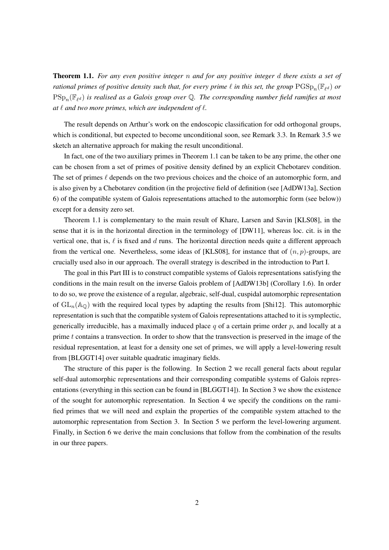Theorem 1.1. *For any even positive integer n and for any positive integer d there exists a set of rational primes of positive density such that, for every prime*  $\ell$  *in this set, the group*  $\mathrm{PGSp}_n(\mathbb{F}_{\ell^d})$  *or* PSp*<sup>n</sup>* (F*<sup>ℓ</sup> <sup>d</sup>* ) *is realised as a Galois group over* Q*. The corresponding number field ramifies at most at ℓ and two more primes, which are independent of ℓ.*

The result depends on Arthur's work on the endoscopic classification for odd orthogonal groups, which is conditional, but expected to become unconditional soon, see Remark 3.3. In Remark 3.5 we sketch an alternative approach for making the result unconditional.

In fact, one of the two auxiliary primes in Theorem 1.1 can be taken to be any prime, the other one can be chosen from a set of primes of positive density defined by an explicit Chebotarev condition. The set of primes *ℓ* depends on the two previous choices and the choice of an automorphic form, and is also given by a Chebotarev condition (in the projective field of definition (see [AdDW13a], Section 6) of the compatible system of Galois representations attached to the automorphic form (see below)) except for a density zero set.

Theorem 1.1 is complementary to the main result of Khare, Larsen and Savin [KLS08], in the sense that it is in the horizontal direction in the terminology of [DW11], whereas loc. cit. is in the vertical one, that is, *ℓ* is fixed and *d* runs. The horizontal direction needs quite a different approach from the vertical one. Nevertheless, some ideas of [KLS08], for instance that of (*n, p*)-groups, are crucially used also in our approach. The overall strategy is described in the introduction to Part I.

The goal in this Part III is to construct compatible systems of Galois representations satisfying the conditions in the main result on the inverse Galois problem of [AdDW13b] (Corollary 1.6). In order to do so, we prove the existence of a regular, algebraic, self-dual, cuspidal automorphic representation of  $GL_n(\mathbb{A}_{\mathbb{Q}})$  with the required local types by adapting the results from [Shi12]. This automorphic representation is such that the compatible system of Galois representations attached to it is symplectic, generically irreducible, has a maximally induced place *q* of a certain prime order *p*, and locally at a prime *t* contains a transvection. In order to show that the transvection is preserved in the image of the residual representation, at least for a density one set of primes, we will apply a level-lowering result from [BLGGT14] over suitable quadratic imaginary fields.

The structure of this paper is the following. In Section 2 we recall general facts about regular self-dual automorphic representations and their corresponding compatible systems of Galois representations (everything in this section can be found in [BLGGT14]). In Section 3 we show the existence of the sought for automorphic representation. In Section 4 we specify the conditions on the ramified primes that we will need and explain the properties of the compatible system attached to the automorphic representation from Section 3. In Section 5 we perform the level-lowering argument. Finally, in Section 6 we derive the main conclusions that follow from the combination of the results in our three papers.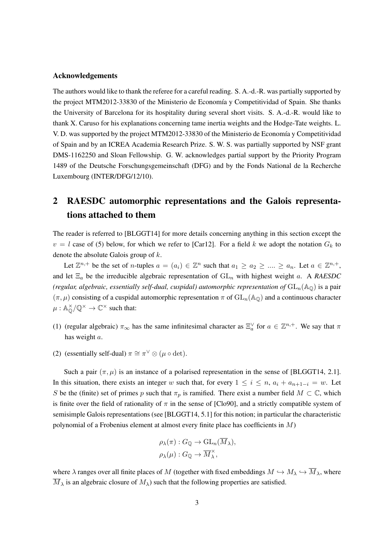#### Acknowledgements

The authors would like to thank the referee for a careful reading. S. A.-d.-R. was partially supported by the project MTM2012-33830 of the Ministerio de Economía y Competitividad of Spain. She thanks the University of Barcelona for its hospitality during several short visits. S. A.-d.-R. would like to thank X. Caruso for his explanations concerning tame inertia weights and the Hodge-Tate weights. L. V. D. was supported by the project MTM2012-33830 of the Ministerio de Economía y Competitividad of Spain and by an ICREA Academia Research Prize. S. W. S. was partially supported by NSF grant DMS-1162250 and Sloan Fellowship. G. W. acknowledges partial support by the Priority Program 1489 of the Deutsche Forschungsgemeinschaft (DFG) and by the Fonds National de la Recherche Luxembourg (INTER/DFG/12/10).

# 2 RAESDC automorphic representations and the Galois representations attached to them

The reader is referred to [BLGGT14] for more details concerning anything in this section except the  $v = l$  case of (5) below, for which we refer to [Car12]. For a field *k* we adopt the notation  $G_k$  to denote the absolute Galois group of *k*.

Let  $\mathbb{Z}^{n,+}$  be the set of *n*-tuples  $a = (a_i) \in \mathbb{Z}^n$  such that  $a_1 \ge a_2 \ge \dots \ge a_n$ . Let  $a \in \mathbb{Z}^{n,+}$ , and let Ξ*<sup>a</sup>* be the irreducible algebraic representation of GL*<sup>n</sup>* with highest weight *a*. A *RAESDC (regular, algebraic, essentially self-dual, cuspidal) automorphic representation of*  $GL_n(\mathbb{A}_\mathbb{O})$  is a pair  $(\pi, \mu)$  consisting of a cuspidal automorphic representation  $\pi$  of  $GL_n(\mathbb{A}_{\mathbb{Q}})$  and a continuous character  $\mu: \mathbb{A}_{\mathbb{Q}}^{\times}/\mathbb{Q}^{\times} \to \mathbb{C}^{\times}$  such that:

- (1) (regular algebraic)  $\pi_{\infty}$  has the same infinitesimal character as  $\Xi_a^{\vee}$  for  $a \in \mathbb{Z}^{n,+}$ . We say that  $\pi$ has weight *a*.
- (2) (essentially self-dual)  $\pi \cong \pi^{\vee} \otimes (\mu \circ \det)$ .

Such a pair  $(\pi, \mu)$  is an instance of a polarised representation in the sense of [BLGGT14, 2.1]. In this situation, there exists an integer *w* such that, for every  $1 \leq i \leq n$ ,  $a_i + a_{n+1-i} = w$ . Let *S* be the (finite) set of primes *p* such that  $\pi_p$  is ramified. There exist a number field  $M \subset \mathbb{C}$ , which is finite over the field of rationality of  $\pi$  in the sense of [Clo90], and a strictly compatible system of semisimple Galois representations (see [BLGGT14, 5.1] for this notion; in particular the characteristic polynomial of a Frobenius element at almost every finite place has coefficients in *M*)

$$
\rho_{\lambda}(\pi) : G_{\mathbb{Q}} \to \mathrm{GL}_{n}(M_{\lambda}),
$$
  

$$
\rho_{\lambda}(\mu) : G_{\mathbb{Q}} \to \overline{M}_{\lambda}^{\times},
$$

where  $\lambda$  ranges over all finite places of *M* (together with fixed embeddings  $M \hookrightarrow M_\lambda \hookrightarrow \overline{M}_\lambda$ , where  $\overline{M}_{\lambda}$  is an algebraic closure of  $M_{\lambda}$ ) such that the following properties are satisfied.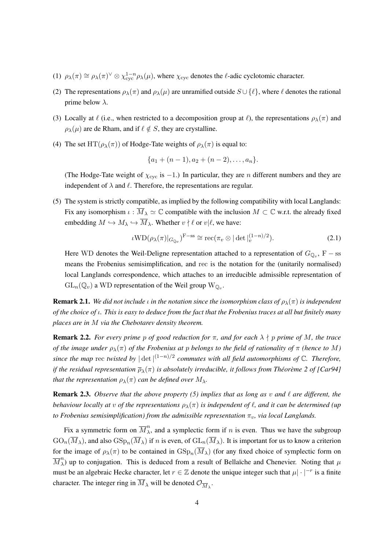- (1)  $\rho_{\lambda}(\pi) \cong \rho_{\lambda}(\pi)^{\vee} \otimes \chi_{\text{cyc}}^{1-n} \rho_{\lambda}(\mu)$ , where  $\chi_{\text{cyc}}$  denotes the  $\ell$ -adic cyclotomic character.
- (2) The representations  $\rho_{\lambda}(\pi)$  and  $\rho_{\lambda}(\mu)$  are unramified outside  $S \cup \{\ell\}$ , where  $\ell$  denotes the rational prime below *λ*.
- (3) Locally at  $\ell$  (i.e., when restricted to a decomposition group at  $\ell$ ), the representations  $\rho_{\lambda}(\pi)$  and  $\rho_{\lambda}(\mu)$  are de Rham, and if  $\ell \notin S$ , they are crystalline.
- (4) The set  $HT(\rho_{\lambda}(\pi))$  of Hodge-Tate weights of  $\rho_{\lambda}(\pi)$  is equal to:

$$
{a_1+(n-1), a_2+(n-2), \ldots, a_n}.
$$

(The Hodge-Tate weight of *χ*cyc is *−*1.) In particular, they are *n* different numbers and they are independent of  $\lambda$  and  $\ell$ . Therefore, the representations are regular.

(5) The system is strictly compatible, as implied by the following compatibility with local Langlands: Fix any isomorphism  $\iota : \overline{M}_{\lambda} \simeq \mathbb{C}$  compatible with the inclusion  $M \subset \mathbb{C}$  w.r.t. the already fixed embedding  $M \hookrightarrow M_{\lambda} \hookrightarrow \overline{M}_{\lambda}$ . Whether  $v \nmid \ell$  or  $v | \ell$ , we have:

$$
\iota \mathrm{WD}(\rho_\lambda(\pi)|_{G_{\mathbb{Q}_v}})^{\mathrm{F-ss}} \cong \mathrm{rec}(\pi_v \otimes |\det|_v^{(1-n)/2}).\tag{2.1}
$$

Here WD denotes the Weil-Deligne representation attached to a representation of  $G_{\mathbb{Q}_v}$ , F − ss means the Frobenius semisimplification, and rec is the notation for the (unitarily normalised) local Langlands correspondence, which attaches to an irreducible admissible representation of  $GL_n(\mathbb{Q}_v)$  a WD representation of the Weil group  $W_{\mathbb{Q}_v}$ .

**Remark 2.1.** *We did not include <i>ι in the notation since the isomorphism class of*  $\rho_{\lambda}(\pi)$  *is independent of the choice of ι. This is easy to deduce from the fact that the Frobenius traces at all but finitely many places are in M via the Chebotarev density theorem.*

**Remark 2.2.** *For every prime p of good reduction for*  $\pi$ *, and for each*  $\lambda \nmid p$  *prime of M, the trace of the image under*  $\rho_{\lambda}(\pi)$  *of the Frobenius at p belongs to the field of rationality of*  $\pi$  *(hence to M*) *since the map* rec *twisted by |* det*|* (1*−n*)*/*2 *commutes with all field automorphisms of* C*. Therefore, if the residual representation ρ<sup>λ</sup>* (*π*) *is absolutely irreducible, it follows from Théorème 2 of [Car94] that the representation*  $\rho_{\lambda}(\pi)$  *can be defined over*  $M_{\lambda}$ *.* 

Remark 2.3. *Observe that the above property (5) implies that as long as v and ℓ are different, the behaviour locally at v of the representations*  $\rho_{\lambda}(\pi)$  *is independent of*  $\ell$ *, and it can be determined (up to Frobenius semisimplification) from the admissible representation*  $\pi_v$ , via local Langlands.

Fix a symmetric form on  $\overline{M}_{\lambda}^{n}$  $\lambda$ , and a symplectic form if *n* is even. Thus we have the subgroup  $\text{GO}_n(M_\lambda)$ , and also  $\text{GSp}_n(M_\lambda)$  if *n* is even, of  $\text{GL}_n(M_\lambda)$ . It is important for us to know a criterion for the image of  $\rho_{\lambda}(\pi)$  to be contained in  $\text{GSp}_n(M_{\lambda})$  (for any fixed choice of symplectic form on  $\overline{M}^n_\lambda$  $\lambda$ ) up to conjugation. This is deduced from a result of Bellaïche and Chenevier. Noting that *μ* must be an algebraic Hecke character, let  $r \in \mathbb{Z}$  denote the unique integer such that  $\mu | \cdot |^{-r}$  is a finite character. The integer ring in  $M_{\lambda}$  will be denoted  $\mathcal{O}_{\overline{M}_{\lambda}}$ .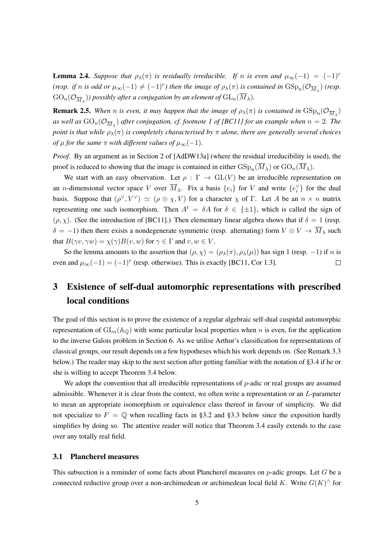**Lemma 2.4.** *Suppose that*  $\rho_{\lambda}(\pi)$  *is residually irreducible. If n is even and*  $\mu_{\infty}(-1) = (-1)^{r}$ (resp. if n is odd or  $\mu_\infty(-1) \neq (-1)^r$ ) then the image of  $\rho_\lambda(\pi)$  is contained in  $GSp_n(\mathcal{O}_{\overline{M}_\lambda})$  (resp.  $\text{GO}_n(\mathcal{O}_{\overline{M}_\lambda}))$  possibly after a conjugation by an element of  $\text{GL}_n(M_\lambda)$ .

**Remark 2.5.** When *n* is even, it may happen that the image of  $\rho_\lambda(\pi)$  is contained in  $\text{GSp}_n(\mathcal{O}_{\overline{M}_\lambda})$ *as well as*  $GO_n(\mathcal{O}_{\overline{M}_\lambda})$  *after conjugation, cf. footnote 1 of [BC11] for an example when*  $n=2$ *. The point is that while*  $\rho_{\lambda}(\pi)$  *is completely characterised by*  $\pi$  *alone, there are generally several choices of*  $\mu$  *for the same*  $\pi$  *with different values of*  $\mu_{\infty}(-1)$ *.* 

*Proof.* By an argument as in Section 2 of [AdDW13a] (where the residual irreducibility is used), the proof is reduced to showing that the image is contained in either  $\mathrm{GSp}_n(M_\lambda)$  or  $\mathrm{GO}_n(M_\lambda)$ .

We start with an easy observation. Let  $\rho : \Gamma \to GL(V)$  be an irreducible representation on an *n*-dimensional vector space *V* over  $M_{\lambda}$ . Fix a basis  $\{e_i\}$  for *V* and write  $\{e_i^{\vee}\}\$  for the dual basis. Suppose that  $(\rho^{\vee}, V^{\vee}) \simeq (\rho \otimes \chi, V)$  for a character  $\chi$  of  $\Gamma$ . Let A be an  $n \times n$  matrix representing one such isomorphism. Then  $A^t = \delta A$  for  $\delta \in {\pm 1}$ , which is called the sign of  $(\rho, \chi)$ . (See the introduction of [BC11].) Then elementary linear algebra shows that if  $\delta = 1$  (resp.  $\delta$  = −1) then there exists a nondegenerate symmetric (resp. alternating) form  $V \otimes V \to \overline{M}_{\lambda}$  such that  $B(\gamma v, \gamma w) = \chi(\gamma)B(v, w)$  for  $\gamma \in \Gamma$  and  $v, w \in V$ .

So the lemma amounts to the assertion that  $(\rho, \chi) = (\rho_\lambda(\pi), \rho_\lambda(\mu))$  has sign 1 (resp. -1) if *n* is even and  $\mu_{\infty}(-1) = (-1)^r$  (resp. otherwise). This is exactly [BC11, Cor 1.3].  $\Box$ 

# 3 Existence of self-dual automorphic representations with prescribed local conditions

The goal of this section is to prove the existence of a regular algebraic self-dual cuspidal automorphic representation of  $GL_n(\mathbb{A}_{\mathbb{Q}})$  with some particular local properties when *n* is even, for the application to the inverse Galois problem in Section 6. As we utilise Arthur's classification for representations of classical groups, our result depends on a few hypotheses which his work depends on. (See Remark 3.3 below.) The reader may skip to the next section after getting familiar with the notation of §3.4 if he or she is willing to accept Theorem 3.4 below.

We adopt the convention that all irreducible representations of *p*-adic or real groups are assumed admissible. Whenever it is clear from the context, we often write a representation or an *L*-parameter to mean an appropriate isomorphism or equivalence class thereof in favour of simplicity. We did not specialize to  $F = \mathbb{Q}$  when recalling facts in §3.2 and §3.3 below since the exposition hardly simplifies by doing so. The attentive reader will notice that Theorem 3.4 easily extends to the case over any totally real field.

#### 3.1 Plancherel measures

This subsection is a reminder of some facts about Plancherel measures on *p*-adic groups. Let *G* be a connected reductive group over a non-archimedean or archimedean local field *K*. Write *G*(*K*) *∧* for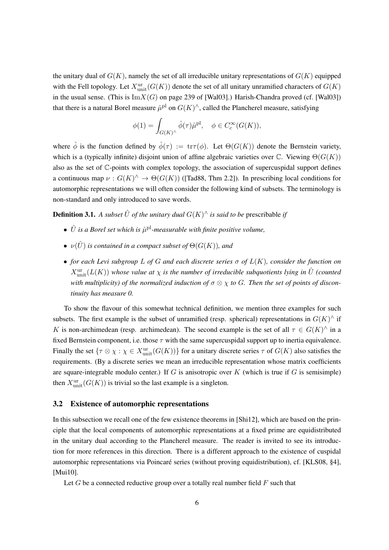the unitary dual of  $G(K)$ , namely the set of all irreducible unitary representations of  $G(K)$  equipped with the Fell topology. Let  $X^{\text{ur}}_{\text{unit}}(G(K))$  denote the set of all unitary unramified characters of  $G(K)$ in the usual sense. (This is  $\text{Im}X(G)$  on page 239 of [Wal03].) Harish-Chandra proved (cf. [Wal03]) that there is a natural Borel measure  $\hat{\mu}^{pl}$  on  $G(K)^{\wedge}$ , called the Plancherel measure, satisfying

$$
\phi(1) = \int_{G(K)^{\wedge}} \hat{\phi}(\tau) \hat{\mu}^{\text{pl}}, \quad \phi \in C_c^{\infty}(G(K)),
$$

where  $\hat{\phi}$  is the function defined by  $\hat{\phi}(\tau) := \text{tr}\tau(\phi)$ . Let  $\Theta(G(K))$  denote the Bernstein variety, which is a (typically infinite) disjoint union of affine algebraic varieties over C. Viewing Θ(*G*(*K*)) also as the set of C-points with complex topology, the association of supercuspidal support defines a continuous map  $\nu: G(K)^\wedge \to \Theta(G(K))$  ([Tad88, Thm 2.2]). In prescribing local conditions for automorphic representations we will often consider the following kind of subsets. The terminology is non-standard and only introduced to save words.

**Definition 3.1.** A subset  $\hat{U}$  of the unitary dual  $G(K)^{\wedge}$  is said to be prescribable if

- $\hat{U}$  *is a Borel set which is*  $\hat{\mu}^{pl}$ -measurable with finite positive volume,
- $\nu(\hat{U})$  *is contained in a compact subset of*  $\Theta(G(K))$ *, and*
- *• for each Levi subgroup L of G and each discrete series σ of L*(*K*)*, consider the function on*  $X^{\text{ur}}_{\text{unit}}(L(K))$  whose value at  $\chi$  is the number of irreducible subquotients lying in  $\hat{U}$  (counted *with multiplicity) of the normalized induction of σ ⊗ χ to G. Then the set of points of discontinuity has measure 0.*

To show the flavour of this somewhat technical definition, we mention three examples for such subsets. The first example is the subset of unramified (resp. spherical) representations in  $G(K)^\wedge$  if *K* is non-archimedean (resp. archimedean). The second example is the set of all  $\tau \in G(K)$ <sup> $\wedge$ </sup> in a fixed Bernstein component, i.e. those *τ* with the same supercuspidal support up to inertia equivalence. Finally the set  $\{\tau \otimes \chi : \chi \in X^{\text{ur}}_{\text{unit}}(G(K))\}$  for a unitary discrete series  $\tau$  of  $G(K)$  also satisfies the requirements. (By a discrete series we mean an irreducible representation whose matrix coefficients are square-integrable modulo center.) If *G* is anisotropic over *K* (which is true if *G* is semisimple) then  $X^{\text{ur}}_{\text{unit}}(G(K))$  is trivial so the last example is a singleton.

#### 3.2 Existence of automorphic representations

In this subsection we recall one of the few existence theorems in [Shi12], which are based on the principle that the local components of automorphic representations at a fixed prime are equidistributed in the unitary dual according to the Plancherel measure. The reader is invited to see its introduction for more references in this direction. There is a different approach to the existence of cuspidal automorphic representations via Poincaré series (without proving equidistribution), cf. [KLS08, §4], [Mui10].

Let *G* be a connected reductive group over a totally real number field *F* such that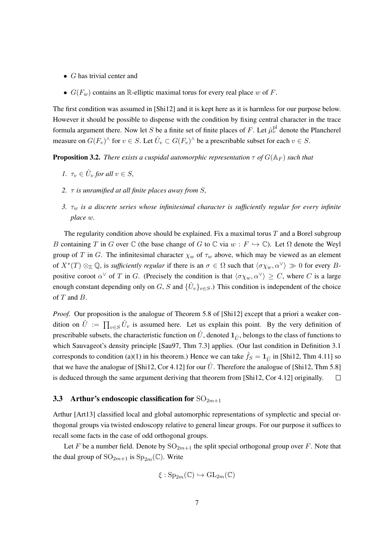- *• G* has trivial center and
- $G(F_w)$  contains an R-elliptic maximal torus for every real place *w* of *F*.

The first condition was assumed in [Shi12] and it is kept here as it is harmless for our purpose below. However it should be possible to dispense with the condition by fixing central character in the trace formula argument there. Now let *S* be a finite set of finite places of *F*. Let  $\hat{\mu}_v^{\text{pl}}$  denote the Plancherel measure on  $G(F_v)^\wedge$  for  $v \in S$ . Let  $\hat{U}_v \subset G(F_v)^\wedge$  be a prescribable subset for each  $v \in S$ .

**Proposition 3.2.** *There exists a cuspidal automorphic representation*  $\tau$  *of*  $G(\mathbb{A}_F)$  *such that* 

- *1.*  $\tau_v \in \hat{U}_v$  for all  $v \in S$ ,
- *2. τ is unramified at all finite places away from S,*
- *3. τ<sup>w</sup> is a discrete series whose infinitesimal character is sufficiently regular for every infinite place w.*

The regularity condition above should be explained. Fix a maximal torus *T* and a Borel subgroup *B* containing *T* in *G* over  $\mathbb C$  (the base change of *G* to  $\mathbb C$  via  $w : F \hookrightarrow \mathbb C$ ). Let  $\Omega$  denote the Weyl group of *T* in *G*. The infinitesimal character  $\chi_w$  of  $\tau_w$  above, which may be viewed as an element of  $X^*(T) \otimes_{\mathbb{Z}} \mathbb{Q}$ , is *sufficiently regular* if there is an  $\sigma \in \Omega$  such that  $\langle \sigma \chi_w, \alpha^\vee \rangle \gg 0$  for every *B*positive coroot  $\alpha^{\vee}$  of *T* in *G*. (Precisely the condition is that  $\langle \sigma \chi_w, \alpha^{\vee} \rangle \geq C$ , where *C* is a large enough constant depending only on *G*, *S* and  ${\{\hat{U}_v\}}_{v \in S}$ .) This condition is independent of the choice of *T* and *B*.

*Proof.* Our proposition is the analogue of Theorem 5.8 of [Shi12] except that a priori a weaker condition on  $\hat{U} := \prod_{v \in S} \hat{U}_v$  is assumed here. Let us explain this point. By the very definition of prescribable subsets, the characteristic function on  $\hat{U}$ , denoted  $\mathbf{1}_{\hat{\mu}}$ , belongs to the class of functions to which Sauvageot's density principle [Sau97, Thm 7.3] applies. (Our last condition in Definition 3.1 corresponds to condition (a)(1) in his theorem.) Hence we can take  $\hat{f}_S = \mathbf{1}_{\hat{U}}$  in [Shi12, Thm 4.11] so that we have the analogue of [Shi12, Cor 4.12] for our  $\hat{U}$ . Therefore the analogue of [Shi12, Thm 5.8] is deduced through the same argument deriving that theorem from [Shi12, Cor 4.12] originally.  $\Box$ 

#### 3.3 Arthur's endoscopic classification for  $SO_{2m+1}$

Arthur [Art13] classified local and global automorphic representations of symplectic and special orthogonal groups via twisted endoscopy relative to general linear groups. For our purpose it suffices to recall some facts in the case of odd orthogonal groups.

Let F be a number field. Denote by  $SO_{2m+1}$  the split special orthogonal group over F. Note that the dual group of  $\text{SO}_{2m+1}$  is  $\text{Sp}_{2m}(\mathbb{C})$ . Write

$$
\xi: \mathrm{Sp}_{2m}(\mathbb{C}) \hookrightarrow \mathrm{GL}_{2m}(\mathbb{C})
$$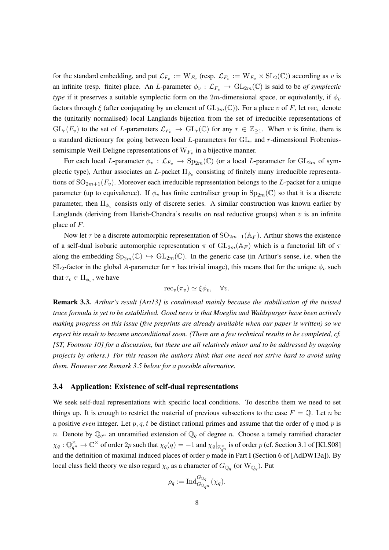for the standard embedding, and put  $\mathcal{L}_{F_v} := W_{F_v}$  (resp.  $\mathcal{L}_{F_v} := W_{F_v} \times SL_2(\mathbb{C})$ ) according as *v* is an infinite (resp. finite) place. An *L*-parameter  $\phi_v : \mathcal{L}_{F_v} \to GL_{2m}(\mathbb{C})$  is said to be *of symplectic type* if it preserves a suitable symplectic form on the 2*m*-dimensional space, or equivalently, if  $\phi$ <sub>*v*</sub> factors through  $\xi$  (after conjugating by an element of  $GL_{2m}(\mathbb{C})$ ). For a place *v* of *F*, let rec<sub>*v*</sub> denote the (unitarily normalised) local Langlands bijection from the set of irreducible representations of  $GL_r(F_v)$  to the set of *L*-parameters  $\mathcal{L}_{F_v} \to GL_r(\mathbb{C})$  for any  $r \in \mathbb{Z}_{\geq 1}$ . When *v* is finite, there is a standard dictionary for going between local *L*-parameters for GL*<sup>r</sup>* and *r*-dimensional Frobeniussemisimple Weil-Deligne representations of W*F<sup>v</sup>* in a bijective manner.

For each local *L*-parameter  $\phi_v : L_{F_v} \to \text{Sp}_{2m}(\mathbb{C})$  (or a local *L*-parameter for  $GL_{2m}$  of symplectic type), Arthur associates an *L*-packet Π*ϕ<sup>v</sup>* consisting of finitely many irreducible representations of  $SO_{2m+1}(F_v)$ . Moreover each irreducible representation belongs to the *L*-packet for a unique parameter (up to equivalence). If  $\phi_v$  has finite centraliser group in  $Sp_{2m}(\mathbb{C})$  so that it is a discrete parameter, then  $\Pi_{\phi_v}$  consists only of discrete series. A similar construction was known earlier by Langlands (deriving from Harish-Chandra's results on real reductive groups) when *v* is an infinite place of *F*.

Now let  $\tau$  be a discrete automorphic representation of  $SO_{2m+1}(\mathbb{A}_F)$ . Arthur shows the existence of a self-dual isobaric automorphic representation  $\pi$  of  $GL_{2m}(\mathbb{A}_F)$  which is a functorial lift of  $\tau$ along the embedding  $Sp_{2m}(\mathbb{C}) \hookrightarrow GL_{2m}(\mathbb{C})$ . In the generic case (in Arthur's sense, i.e. when the  $SL_2$ -factor in the global *A*-parameter for  $\tau$  has trivial image), this means that for the unique  $\phi_v$  such that  $\tau_v \in \Pi_{\phi_v}$ , we have

$$
\mathrm{rec}_v(\pi_v) \simeq \xi \phi_v, \quad \forall v.
$$

Remark 3.3. *Arthur's result [Art13] is conditional mainly because the stabilisation of the twisted trace formula is yet to be established. Good news is that Moeglin and Waldspurger have been actively making progress on this issue (five preprints are already available when our paper is written) so we expect his result to become unconditional soon. (There are a few technical results to be completed, cf. [ST, Footnote 10] for a discussion, but these are all relatively minor and to be addressed by ongoing projects by others.) For this reason the authors think that one need not strive hard to avoid using them. However see Remark 3.5 below for a possible alternative.*

#### 3.4 Application: Existence of self-dual representations

We seek self-dual representations with specific local conditions. To describe them we need to set things up. It is enough to restrict the material of previous subsections to the case  $F = \mathbb{Q}$ . Let *n* be a positive *even* integer. Let *p, q, t* be distinct rational primes and assume that the order of *q* mod *p* is *n*. Denote by  $\mathbb{Q}_{q^n}$  an unramified extension of  $\mathbb{Q}_q$  of degree *n*. Choose a tamely ramified character  $\chi_q:\mathbb{Q}_{q^n}^\times\to\mathbb{C}^\times$  of order  $2p$  such that  $\chi_q(q)=-1$  and  $\chi_q|_{\mathbb{Z}_{q^n}^\times}$  is of order  $p$  (cf. Section 3.1 of [KLS08] and the definition of maximal induced places of order *p* made in Part I (Section 6 of [AdDW13a]). By local class field theory we also regard  $\chi_q$  as a character of  $G_{\mathbb{Q}_q}$  (or  $\mathrm{W}_{\mathbb{Q}_q}$ ). Put

$$
\rho_q := \operatorname{Ind}_{G_{\mathbb{Q}_{q^n}}}^{G_{\mathbb{Q}_q}} (\chi_q).
$$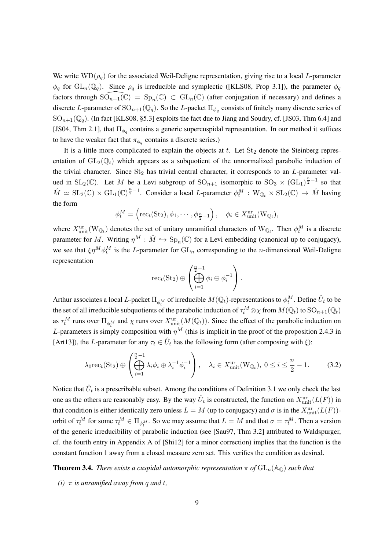We write  $WD(\rho_q)$  for the associated Weil-Deligne representation, giving rise to a local *L*-parameter  $\phi_q$  for  $GL_n(\mathbb{Q}_q)$ . Since  $\rho_q$  is irreducible and symplectic ([KLS08, Prop 3.1]), the parameter  $\phi_q$ factors through  $SO_{n+1}(\mathbb{C}) = Sp_n(\mathbb{C}) \subset GL_n(\mathbb{C})$  (after conjugation if necessary) and defines a discrete *L*-parameter of  $\text{SO}_{n+1}(\mathbb{Q}_q)$ . So the *L*-packet  $\Pi_{\phi_q}$  consists of finitely many discrete series of  $SO_{n+1}(\mathbb{Q}_q)$ . (In fact [KLS08, §5.3] exploits the fact due to Jiang and Soudry, cf. [JS03, Thm 6.4] and [JS04, Thm 2.1], that  $\Pi_{\phi_q}$  contains a generic supercuspidal representation. In our method it suffices to have the weaker fact that  $\pi_{\phi_q}$  contains a discrete series.)

It is a little more complicated to explain the objects at  $t$ . Let  $St_2$  denote the Steinberg representation of  $GL_2(\mathbb{Q}_t)$  which appears as a subquotient of the unnormalized parabolic induction of the trivial character. Since St<sub>2</sub> has trivial central character, it corresponds to an *L*-parameter valued in SL<sub>2</sub>( $\mathbb{C}$ ). Let *M* be a Levi subgroup of SO<sub>n+1</sub> isomorphic to SO<sub>3</sub>  $\times$  (GL<sub>1</sub>)<sup> $\frac{n}{2}-1$ </sup> so that  $\hat{M} \simeq$   $SL_2(\mathbb{C}) \times GL_1(\mathbb{C})^{\frac{n}{2}-1}$ . Consider a local *L*-parameter  $\phi_t^M : W_{\mathbb{Q}_t} \times SL_2(\mathbb{C}) \to \hat{M}$  having the form

$$
\phi_t^M = \left(\text{rec}_t(\text{St}_2), \phi_1, \cdots, \phi_{\frac{n}{2}-1}\right), \quad \phi_i \in X^{\text{ur}}_{\text{unit}}(W_{\mathbb{Q}_t}),
$$

where  $X_{\text{unit}}^{\text{ur}}(W_{\mathbb{Q}_t})$  denotes the set of unitary unramified characters of  $W_{\mathbb{Q}_t}$ . Then  $\phi_t^M$  is a discrete parameter for *M*. Writing  $\eta^M : \hat{M} \hookrightarrow \text{Sp}_n(\mathbb{C})$  for a Levi embedding (canonical up to conjugacy), we see that  $\xi \eta^M \phi_t^M$  is the *L*-parameter for  $GL_n$  corresponding to the *n*-dimensional Weil-Deligne representation

$$
\operatorname{rec}_{t}(\operatorname{St}_{2}) \oplus \left( \bigoplus_{i=1}^{\frac{n}{2}-1} \phi_{i} \oplus \phi_{i}^{-1} \right).
$$

Arthur associates a local *L*-packet  $\Pi_{\phi_t^M}$  of irreducible  $M(\mathbb{Q}_t)$ -representations to  $\phi_t^M$ . Define  $\hat{U}_t$  to be the set of all irreducible subquotients of the parabolic induction of  $\tau_t^M \otimes \chi$  from  $M(\mathbb{Q}_t)$  to  $\mathrm{SO}_{n+1}(\mathbb{Q}_t)$ as  $\tau_t^M$  runs over  $\Pi_{\phi_t^M}$  and  $\chi$  runs over  $X_{\text{unit}}^{\text{ur}}(M(\mathbb{Q}_t))$ . Since the effect of the parabolic induction on *L*-parameters is simply composition with  $\eta^M$  (this is implicit in the proof of the proposition 2.4.3 in [Art13]), the *L*-parameter for any  $\tau_t \in \hat{U}_t$  has the following form (after composing with  $\xi$ ):

$$
\lambda_0 \text{rec}_t(\text{St}_2) \oplus \left( \bigoplus_{i=1}^{\frac{n}{2}-1} \lambda_i \phi_i \oplus \lambda_i^{-1} \phi_i^{-1} \right), \quad \lambda_i \in X^{\text{ur}}_{\text{unit}}(W_{\mathbb{Q}_t}), \ 0 \le i \le \frac{n}{2} - 1. \tag{3.2}
$$

Notice that  $\hat{U}_t$  is a prescribable subset. Among the conditions of Definition 3.1 we only check the last one as the others are reasonably easy. By the way  $\hat{U}_t$  is constructed, the function on  $X_{\text{unit}}^{\text{ur}}(L(F))$  in that condition is either identically zero unless  $L = M$  (up to conjugacy) and  $\sigma$  is in the  $X_{\text{unit}}^{\text{ur}}(L(F))$ orbit of  $\tau_t^M$  for some  $\tau_t^M \in \Pi_{\phi_t^M}$ . So we may assume that  $L = M$  and that  $\sigma = \tau_t^M$ . Then a version of the generic irreducibility of parabolic induction (see [Sau97, Thm 3.2] attributed to Waldspurger, cf. the fourth entry in Appendix A of [Shi12] for a minor correction) implies that the function is the constant function 1 away from a closed measure zero set. This verifies the condition as desired.

**Theorem 3.4.** *There exists a cuspidal automorphic representation*  $\pi$  *of*  $GL_n(\mathbb{A}_{\mathbb{O}})$  *such that* 

*(i)*  $\pi$  *is unramified away from q and t,*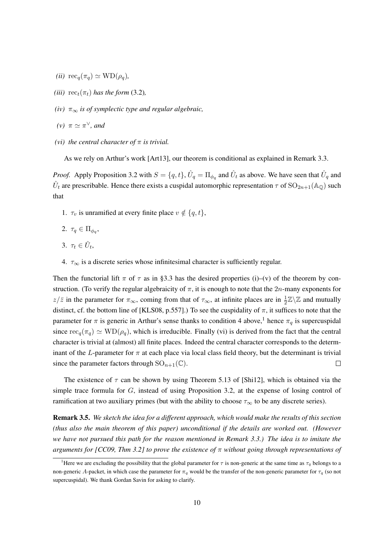- $(iii) \text{rec}_q(\pi_q) \simeq \text{WD}(\rho_q)$ ,
- *(iii)*  $rec_t(\pi_t)$  *has the form* (3.2)*,*
- *(iv) π<sup>∞</sup> is of symplectic type and regular algebraic,*
- $(\nu)$   $\pi \simeq \pi^{\vee}$ *, and*
- *(vi) the central character of π is trivial.*

As we rely on Arthur's work [Art13], our theorem is conditional as explained in Remark 3.3.

*Proof.* Apply Proposition 3.2 with  $S = \{q, t\}$ ,  $\hat{U}_q = \prod_{\phi_q}$  and  $\hat{U}_t$  as above. We have seen that  $\hat{U}_q$  and  $\hat{U}_t$  are prescribable. Hence there exists a cuspidal automorphic representation  $\tau$  of  ${\rm SO}_{2n+1}({\mathbb A}_{{\mathbb Q}})$  such that

- 1.  $\tau_v$  is unramified at every finite place  $v \notin \{q, t\}$ ,
- 2.  $\tau_q \in \Pi_{\phi_q}$ ,
- 3.  $\tau_t \in \hat{U}_t$ ,
- 4.  $\tau_{\infty}$  is a discrete series whose infinitesimal character is sufficiently regular.

Then the functorial lift  $\pi$  of  $\tau$  as in §3.3 has the desired properties (i)–(v) of the theorem by construction. (To verify the regular algebraicity of  $\pi$ , it is enough to note that the 2*n*-many exponents for *z/* $\bar{z}$  in the parameter for  $\pi_{\infty}$ , coming from that of  $\tau_{\infty}$ , at infinite places are in  $\frac{1}{2}\mathbb{Z}\backslash\mathbb{Z}$  and mutually distinct, cf. the bottom line of [KLS08, p.557].) To see the cuspidality of  $\pi$ , it suffices to note that the parameter for  $\pi$  is generic in Arthur's sense thanks to condition 4 above,<sup>1</sup> hence  $\pi_q$  is supercuspidal since  $\operatorname{rec}_q(\pi_q) \simeq \text{WD}(\rho_q)$ , which is irreducible. Finally (vi) is derived from the fact that the central character is trivial at (almost) all finite places. Indeed the central character corresponds to the determinant of the *L*-parameter for  $\pi$  at each place via local class field theory, but the determinant is trivial since the parameter factors through  $\text{SO}_{n+1}(\mathbb{C})$ .  $\Box$ 

The existence of  $\tau$  can be shown by using Theorem 5.13 of [Shi12], which is obtained via the simple trace formula for *G*, instead of using Proposition 3.2, at the expense of losing control of ramification at two auxiliary primes (but with the ability to choose  $\tau_\infty$  to be any discrete series).

Remark 3.5. *We sketch the idea for a different approach, which would make the results of this section (thus also the main theorem of this paper) unconditional if the details are worked out. (However we have not pursued this path for the reason mentioned in Remark 3.3.) The idea is to imitate the arguments for [CC09, Thm 3.2] to prove the existence of π without going through representations of*

<sup>&</sup>lt;sup>1</sup>Here we are excluding the possibility that the global parameter for  $\tau$  is non-generic at the same time as  $\tau_q$  belongs to a non-generic *A*-packet, in which case the parameter for  $\pi_q$  would be the transfer of the non-generic parameter for  $\tau_q$  (so not supercuspidal). We thank Gordan Savin for asking to clarify.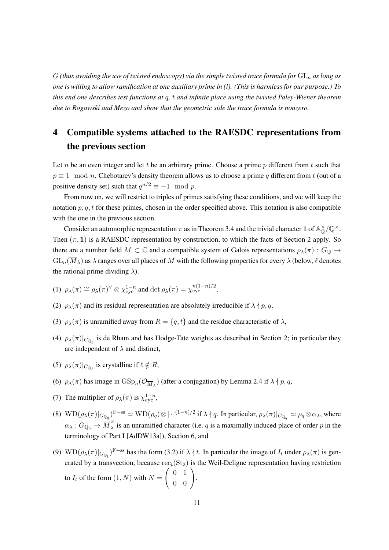*G (thus avoiding the use of twisted endoscopy) via the simple twisted trace formula for* GL*<sup>n</sup> as long as one is willing to allow ramification at one auxiliary prime in (i). (This is harmless for our purpose.) To this end one describes test functions at q, t and infinite place using the twisted Paley-Wiener theorem due to Rogawski and Mezo and show that the geometric side the trace formula is nonzero.*

# 4 Compatible systems attached to the RAESDC representations from the previous section

Let *n* be an even integer and let *t* be an arbitrary prime. Choose a prime *p* different from *t* such that  $p \equiv 1 \mod n$ . Chebotarev's density theorem allows us to choose a prime *q* different from *t* (out of a positive density set) such that  $q^{n/2} \equiv -1 \mod p$ .

From now on, we will restrict to triples of primes satisfying these conditions, and we will keep the notation  $p, q, t$  for these primes, chosen in the order specified above. This notation is also compatible with the one in the previous section.

Consider an automorphic representation  $\pi$  as in Theorem 3.4 and the trivial character **1** of  $\mathbb{A}_{\mathbb{Q}}^{\times}/\mathbb{Q}^{\times}$ . Then  $(\pi, 1)$  is a RAESDC representation by construction, to which the facts of Section 2 apply. So there are a number field  $M \subset \mathbb{C}$  and a compatible system of Galois representations  $\rho_{\lambda}(\pi) : G_{\mathbb{Q}} \to$  $GL_n(\overline{M}_\lambda)$  as  $\lambda$  ranges over all places of  $M$  with the following properties for every  $\lambda$  (below,  $\ell$  denotes the rational prime dividing  $\lambda$ ).

- (1)  $\rho_{\lambda}(\pi) \cong \rho_{\lambda}(\pi)^{\vee} \otimes \chi_{\text{cyc}}^{1-n}$  and det  $\rho_{\lambda}(\pi) = \chi_{\text{cyc}}^{n(1-n)/2}$ ,
- (2)  $\rho_{\lambda}(\pi)$  and its residual representation are absolutely irreducible if  $\lambda \nmid p, q$ ,
- (3)  $\rho_{\lambda}(\pi)$  is unramified away from  $R = \{q, t\}$  and the residue characteristic of  $\lambda$ ,
- (4)  $\rho_{\lambda}(\pi)|_{G_{\mathbb{Q}_{\ell}}}$  is de Rham and has Hodge-Tate weights as described in Section 2; in particular they are independent of  $\lambda$  and distinct,
- (5)  $\rho_{\lambda}(\pi)|_{G_{\mathbb{Q}_{\ell}}}$  is crystalline if  $\ell \notin R$ ,
- (6)  $\rho_{\lambda}(\pi)$  has image in  $GSp_n(\mathcal{O}_{\overline{M}_{\lambda}})$  (after a conjugation) by Lemma 2.4 if  $\lambda \nmid p, q$ ,
- (7) The multiplier of  $\rho_{\lambda}(\pi)$  is  $\chi^{1-n}_{\text{cyc}}$ ,
- (8)  $\text{WD}(\rho_{\lambda}(\pi)|_{G_{\mathbb{Q}_q}})^{\text{F-ss}} \simeq \text{WD}(\rho_q) \otimes |\cdot|^{(1-n)/2} \text{ if } \lambda \nmid q.$  In particular,  $\rho_{\lambda}(\pi)|_{G_{\mathbb{Q}_q}} \simeq \rho_q \otimes \alpha_{\lambda}$ , where  $\alpha_{\lambda}: G_{\mathbb{Q}_q} \to \overline{M}_{\lambda}^{\times}$  is an unramified character (i.e. *q* is a maximally induced place of order *p* in the terminology of Part I [AdDW13a]), Section 6, and
- (9)  $WD(\rho_{\lambda}(\pi)|_{G_{\mathbb{Q}_t}})^{F-ss}$  has the form (3.2) if  $\lambda \nmid t$ . In particular the image of  $I_t$  under  $\rho_{\lambda}(\pi)$  is generated by a transvection, because  $rec_t(St_2)$  is the Weil-Deligne representation having restriction to  $I_t$  of the form  $(1, N)$  with  $N =$  $\left(\begin{array}{cc} 0 & 1 \\ 0 & 0 \end{array}\right)$ .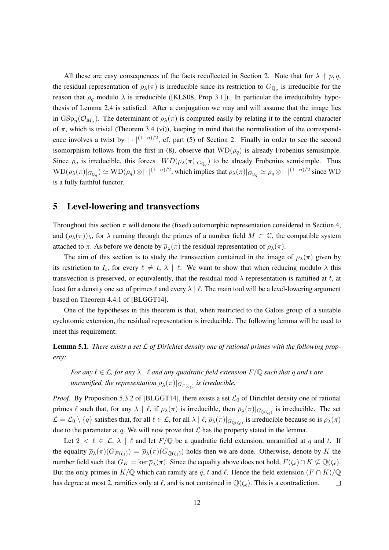All these are easy consequences of the facts recollected in Section 2. Note that for  $\lambda \nmid p, q$ , the residual representation of  $\rho_{\lambda}(\pi)$  is irreducible since its restriction to  $G_{\mathbb{Q}_q}$  is irreducible for the reason that  $\rho_q$  modulo  $\lambda$  is irreducible ([KLS08, Prop 3.1]). In particular the irreducibility hypothesis of Lemma 2.4 is satisfied. After a conjugation we may and will assume that the image lies in  $GSp_n(\mathcal{O}_{M_\lambda})$ . The determinant of  $\rho_\lambda(\pi)$  is computed easily by relating it to the central character of  $\pi$ , which is trivial (Theorem 3.4 (vi)), keeping in mind that the normalisation of the correspondence involves a twist by  $|\cdot|^{(1-n)/2}$ , cf. part (5) of Section 2. Finally in order to see the second isomorphism follows from the first in (8), observe that  $WD(\rho_q)$  is already Frobenius semisimple. Since  $\rho_q$  is irreducible, this forces  $WD(\rho_\lambda(\pi)|_{G_{\mathbb{Q}_q}})$  to be already Frobenius semisimple. Thus  $\text{WD}(\rho_\lambda(\pi)|_{G_{\mathbb{Q}_q}}) \simeq \text{WD}(\rho_q) \otimes |\cdot|^{(1-n)/2}$ , which implies that  $\rho_\lambda(\pi)|_{G_{\mathbb{Q}_q}} \simeq \rho_q \otimes |\cdot|^{(1-n)/2}$  since WD is a fully faithful functor.

### 5 Level-lowering and transvections

Throughout this section *π* will denote the (fixed) automorphic representation considered in Section 4, and  $(\rho_{\lambda}(\pi))_{\lambda}$ , for  $\lambda$  running through the primes of a number field  $M \subset \mathbb{C}$ , the compatible system attached to  $\pi$ . As before we denote by  $\overline{\rho}_{\lambda}(\pi)$  the residual representation of  $\rho_{\lambda}(\pi)$ .

The aim of this section is to study the transvection contained in the image of  $\rho_{\lambda}(\pi)$  given by its restriction to  $I_t$ , for every  $\ell \neq t$ ,  $\lambda \mid \ell$ . We want to show that when reducing modulo  $\lambda$  this transvection is preserved, or equivalently, that the residual mod  $\lambda$  representation is ramified at *t*, at least for a density one set of primes *ℓ* and every *λ | ℓ*. The main tool will be a level-lowering argument based on Theorem 4.4.1 of [BLGGT14].

One of the hypotheses in this theorem is that, when restricted to the Galois group of a suitable cyclotomic extension, the residual representation is irreducible. The following lemma will be used to meet this requirement:

Lemma 5.1. *There exists a set L of Dirichlet density one of rational primes with the following property:*

*For any*  $\ell \in \mathcal{L}$ , for any  $\lambda \mid \ell$  *and any quadratic field extension*  $F/\mathbb{Q}$  *such that q and t are*  $a$  *unramified, the representation*  $\overline{\rho}_{\lambda}(\pi)|_{G_{F(\zeta_{\ell})}}$  *is irreducible.* 

*Proof.* By Proposition 5.3.2 of [BLGGT14], there exists a set  $\mathcal{L}_0$  of Dirichlet density one of rational primes  $\ell$  such that, for any  $\lambda \mid \ell$ , if  $\rho_{\lambda}(\pi)$  is irreducible, then  $\overline{\rho}_{\lambda}(\pi)|_{G_{\mathbb{Q}(\zeta_{\ell})}}$  is irreducible. The set  $\mathcal{L} = \mathcal{L}_0 \setminus \{q\}$  satisfies that, for all  $\ell \in \mathcal{L}$ , for all  $\lambda \mid \ell, \overline{\rho}_{\lambda}(\pi)|_{G_{\mathbb{Q}(\zeta_{\ell})}}$  is irreducible because so is  $\rho_{\lambda}(\pi)$ due to the parameter at  $q$ . We will now prove that  $\mathcal L$  has the property stated in the lemma.

Let  $2 < \ell \in \mathcal{L}, \lambda \, | \, \ell$  and let  $F/\mathbb{Q}$  be a quadratic field extension, unramified at q and t. If the equality  $\overline{\rho}_{\lambda}(\pi)(G_{F(\zeta_{\ell})}) = \overline{\rho}_{\lambda}(\pi)(G_{\mathbb{Q}(\zeta_{\ell})})$  holds then we are done. Otherwise, denote by *K* the number field such that  $G_K = \ker \overline{\rho}_\lambda(\pi)$ . Since the equality above does not hold,  $F(\zeta_\ell) \cap K \not\subseteq \mathbb{Q}(\zeta_\ell)$ . But the only primes in *K*/ $\mathbb{Q}$  which can ramify are *q*, *t* and  $\ell$ . Hence the field extension  $(F \cap K)/\mathbb{Q}$ has degree at most 2, ramifies only at  $\ell$ , and is not contained in  $\mathbb{Q}(\zeta_{\ell})$ . This is a contradiction.  $\Box$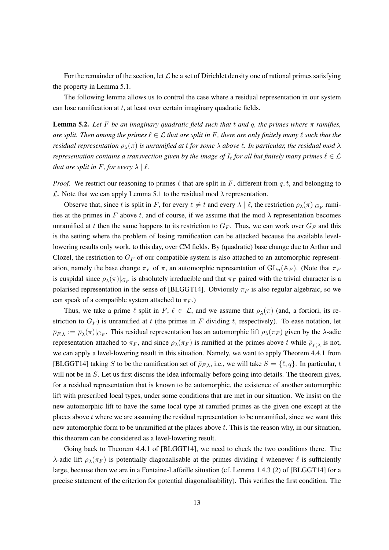For the remainder of the section, let *L* be a set of Dirichlet density one of rational primes satisfying the property in Lemma 5.1.

The following lemma allows us to control the case where a residual representation in our system can lose ramification at *t*, at least over certain imaginary quadratic fields.

**Lemma 5.2.** Let F be an imaginary quadratic field such that  $t$  and  $q$ , the primes where  $\pi$  ramifies, *are split. Then among the primes*  $\ell \in \mathcal{L}$  *that are split in* F, *there are only finitely many*  $\ell$  *such that the residual representation ρ<sup>λ</sup>* (*π*) *is unramified at t for some λ above ℓ. In particular, the residual mod λ representation contains a transvection given by the image of*  $I_t$  *for all but finitely many primes*  $\ell \in \mathcal{L}$ *that are split in*  $F$ *, for every*  $\lambda \mid \ell$ *.* 

*Proof.* We restrict our reasoning to primes  $\ell$  that are split in *F*, different from *q, t,* and belonging to *L*. Note that we can apply Lemma 5.1 to the residual mod *λ* representation.

Observe that, since *t* is split in *F*, for every  $\ell \neq t$  and every  $\lambda \mid \ell$ , the restriction  $\rho_{\lambda}(\pi)|_{G_F}$  ramifies at the primes in  $F$  above  $t$ , and of course, if we assume that the mod  $\lambda$  representation becomes unramified at *t* then the same happens to its restriction to  $G_F$ . Thus, we can work over  $G_F$  and this is the setting where the problem of losing ramification can be attacked because the available levellowering results only work, to this day, over CM fields. By (quadratic) base change due to Arthur and Clozel, the restriction to  $G_F$  of our compatible system is also attached to an automorphic representation, namely the base change  $\pi_F$  of  $\pi$ , an automorphic representation of  $GL_n(\mathbb{A}_F)$ . (Note that  $\pi_F$ is cuspidal since  $\rho_{\lambda}(\pi)|_{G_F}$  is absolutely irreducible and that  $\pi_F$  paired with the trivial character is a polarised representation in the sense of [BLGGT14]. Obviously  $\pi_F$  is also regular algebraic, so we can speak of a compatible system attached to  $\pi_F$ .)

Thus, we take a prime  $\ell$  split in  $F, \ell \in \mathcal{L}$ , and we assume that  $\overline{\rho}_{\lambda}(\pi)$  (and, a fortiori, its restriction to  $G_F$ ) is unramified at *t* (the primes in *F* dividing *t*, respectively). To ease notation, let  $\overline{\rho}_{F,\lambda} := \overline{\rho}_{\lambda}(\pi)|_{G_F}$ . This residual representation has an automorphic lift  $\rho_{\lambda}(\pi_F)$  given by the *λ*-adic representation attached to  $\pi_F$ , and since  $ρ_λ(π_F)$  is ramified at the primes above *t* while  $ρ_{Fλ}$  is not, we can apply a level-lowering result in this situation. Namely, we want to apply Theorem 4.4.1 from [BLGGT14] taking *S* to be the ramification set of  $\bar{p}_{F,\lambda}$ , i.e., we will take  $S = \{\ell, q\}$ . In particular, *t* will not be in *S*. Let us first discuss the idea informally before going into details. The theorem gives, for a residual representation that is known to be automorphic, the existence of another automorphic lift with prescribed local types, under some conditions that are met in our situation. We insist on the new automorphic lift to have the same local type at ramified primes as the given one except at the places above *t* where we are assuming the residual representation to be unramified, since we want this new automorphic form to be unramified at the places above *t*. This is the reason why, in our situation, this theorem can be considered as a level-lowering result.

Going back to Theorem 4.4.1 of [BLGGT14], we need to check the two conditions there. The *λ*-adic lift  $ρ<sub>λ</sub>(π<sub>F</sub>)$  is potentially diagonalisable at the primes dividing  $\ell$  whenever  $\ell$  is sufficiently large, because then we are in a Fontaine-Laffaille situation (cf. Lemma 1.4.3 (2) of [BLGGT14] for a precise statement of the criterion for potential diagonalisability). This verifies the first condition. The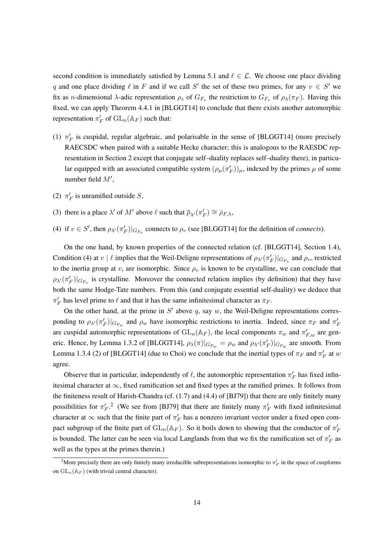second condition is immediately satisfied by Lemma 5.1 and  $\ell \in \mathcal{L}$ . We choose one place dividing *q* and one place dividing  $\ell$  in *F* and if we call *S'* the set of these two primes, for any  $v \in S'$  we fix as *n*-dimensional *λ*-adic representation  $\rho_v$  of  $G_{F_v}$  the restriction to  $G_{F_v}$  of  $\rho_\lambda(\pi_F)$ . Having this fixed, we can apply Theorem 4.4.1 in [BLGGT14] to conclude that there exists another automorphic representation  $\pi_F'$  of  $\mathrm{GL}_n(\mathbb{A}_F)$  such that:

- (1)  $\pi'_{F}$  is cuspidal, regular algebraic, and polarisable in the sense of [BLGGT14] (more precisely RAECSDC when paired with a suitable Hecke character; this is analogous to the RAESDC representation in Section 2 except that conjugate self–duality replaces self–duality there), in particular equipped with an associated compatible system  $(\rho_\mu(\pi_F'))_\mu$ , indexed by the primes  $\mu$  of some number field *M′* ,
- (2)  $\pi'_F$  is unramified outside *S*,
- (3) there is a place  $\lambda'$  of  $M'$  above  $\ell$  such that  $\overline{\rho}_{\lambda'}(\pi'_F) \cong \overline{\rho}_{F,\lambda}$ ,
- (4) if  $v \in S'$ , then  $\rho_{\lambda'}(\pi_F')|_{G_{F_v}}$  connects to  $\rho_v$  (see [BLGGT14] for the definition of *connects*).

On the one hand, by known properties of the connected relation (cf. [BLGGT14], Section 1.4), Condition (4) at *v* |  $\ell$  implies that the Weil-Deligne representations of  $\rho_{\lambda'}(\pi_F')|_{G_{F_v}}$  and  $\rho_v$ , restricted to the inertia group at *v*, are isomorphic. Since  $\rho_v$  is known to be crystalline, we can conclude that  $\rho_{\lambda'}(\pi'_F)|_{G_{F_v}}$  is crystalline. Moreover the connected relation implies (by definition) that they have both the same Hodge-Tate numbers. From this (and conjugate essential self-duality) we deduce that  $\pi_F'$  has level prime to  $\ell$  and that it has the same infinitesimal character as  $\pi_F$ .

On the other hand, at the prime in  $S'$  above  $q$ , say  $w$ , the Weil-Deligne representations corresponding to  $\rho_{\lambda'}(\pi'_F)|_{G_{F_w}}$  and  $\rho_w$  have isomorphic restrictions to inertia. Indeed, since  $\pi_F$  and  $\pi'_F$ are cuspidal automorphic representations of  $GL_n(\mathbb{A}_F)$ , the local components  $\pi_w$  and  $\pi'_{F,w}$  are generic. Hence, by Lemma 1.3.2 of [BLGGT14],  $\rho_{\lambda}(\pi)|_{G_{F_w}} = \rho_w$  and  $\rho_{\lambda'}(\pi_F')|_{G_{F_w}}$  are smooth. From Lemma 1.3.4 (2) of [BLGGT14] (due to Choi) we conclude that the inertial types of  $\pi_F$  and  $\pi'_F$  at *w* agree.

Observe that in particular, independently of  $\ell$ , the automorphic representation  $\pi'_F$  has fixed infinitesimal character at *∞*, fixed ramification set and fixed types at the ramified primes. It follows from the finiteness result of Harish-Chandra (cf. (1.7) and (4.4) of [BJ79]) that there are only finitely many possibilities for  $\pi'_F$ <sup>2</sup>. (We see from [BJ79] that there are finitely many  $\pi'_F$  with fixed infinitesimal character at  $\infty$  such that the finite part of  $\pi'_F$  has a nonzero invariant vector under a fixed open compact subgroup of the finite part of  $GL_n(\mathbb{A}_F)$ . So it boils down to showing that the conductor of  $\pi'_F$ is bounded. The latter can be seen via local Langlands from that we fix the ramification set of  $\pi'_F$  as well as the types at the primes therein.)

<sup>&</sup>lt;sup>2</sup>More precisely there are only finitely many irreducible subrepresentations isomorphic to  $\pi'_F$  in the space of cuspforms on  $GL_n(\mathbb{A}_F)$  (with trivial central character).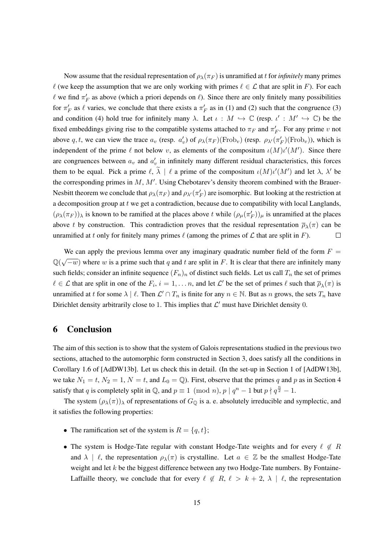Now assume that the residual representation of  $\rho_{\lambda}(\pi_F)$  is unramified at *t* for *infinitely* many primes  $\ell$  (we keep the assumption that we are only working with primes  $\ell \in \mathcal{L}$  that are split in *F*). For each  $\ell$  we find  $\pi'_F$  as above (which a priori depends on  $\ell$ ). Since there are only finitely many possibilities for  $\pi'_F$  as  $\ell$  varies, we conclude that there exists a  $\pi'_F$  as in (1) and (2) such that the congruence (3) and condition (4) hold true for infinitely many  $\lambda$ . Let  $\iota : M \hookrightarrow \mathbb{C}$  (resp.  $\iota' : M' \hookrightarrow \mathbb{C}$ ) be the fixed embeddings giving rise to the compatible systems attached to  $\pi_F$  and  $\pi'_F$ . For any prime *v* not above q, t, we can view the trace  $a_v$  (resp.  $a'_v$ ) of  $\rho_\lambda(\pi_F)(\text{Frob}_v)$  (resp.  $\rho_{\lambda'}(\pi_F')(\text{Frob}_v)$ ), which is independent of the prime  $\ell$  not below  $v$ , as elements of the compositum  $\iota(M)\iota'(M')$ . Since there are congruences between  $a_v$  and  $a'_v$  in infinitely many different residual characteristics, this forces them to be equal. Pick a prime  $\ell$ ,  $\lambda \, | \, \ell$  a prime of the compositum  $\iota(M)\iota'(M')$  and let  $\lambda$ ,  $\lambda'$  be the corresponding primes in *M*, *M′* . Using Chebotarev's density theorem combined with the Brauer-Nesbitt theorem we conclude that  $\rho_{\lambda}(\pi_F)$  and  $\rho_{\lambda'}(\pi_F')$  are isomorphic. But looking at the restriction at a decomposition group at *t* we get a contradiction, because due to compatibility with local Langlands,  $(\rho_{\lambda}(\pi_F))_{\lambda}$  is known to be ramified at the places above *t* while  $(\rho_{\mu}(\pi_F'))_{\mu}$  is unramified at the places above *t* by construction. This contradiction proves that the residual representation  $\overline{\rho}_{\lambda}(\pi)$  can be unramified at *t* only for finitely many primes  $\ell$  (among the primes of  $\mathcal L$  that are split in *F*).  $\Box$ 

We can apply the previous lemma over any imaginary quadratic number field of the form  $F =$  $\mathbb{Q}(\sqrt{-w})$  where *w* is a prime such that *q* and *t* are split in *F*. It is clear that there are infinitely many such fields; consider an infinite sequence  $(F_n)_n$  of distinct such fields. Let us call  $T_n$  the set of primes  $\ell \in \mathcal{L}$  that are split in one of the  $F_i$ ,  $i = 1, \ldots n$ , and let  $\mathcal{L}'$  be the set of primes  $\ell$  such that  $\overline{\rho}_{\lambda}(\pi)$  is unramified at *t* for some  $\lambda \mid \ell$ . Then  $\mathcal{L}' \cap T_n$  is finite for any  $n \in \mathbb{N}$ . But as *n* grows, the sets  $T_n$  have Dirichlet density arbitrarily close to 1. This implies that  $\mathcal{L}'$  must have Dirichlet density 0.

### 6 Conclusion

The aim of this section is to show that the system of Galois representations studied in the previous two sections, attached to the automorphic form constructed in Section 3, does satisfy all the conditions in Corollary 1.6 of [AdDW13b]. Let us check this in detail. (In the set-up in Section 1 of [AdDW13b], we take  $N_1 = t$ ,  $N_2 = 1$ ,  $N = t$ , and  $L_0 = \mathbb{Q}$ . First, observe that the primes *q* and *p* as in Section 4 satisfy that *q* is completely split in  $\mathbb{Q}$ , and  $p \equiv 1 \pmod{n}$ ,  $p \mid q^n - 1$  but  $p \nmid q^{\frac{n}{2}} - 1$ .

The system  $(\rho_{\lambda}(\pi))_{\lambda}$  of representations of  $G_{\mathbb{Q}}$  is a. e. absolutely irreducible and symplectic, and it satisfies the following properties:

- The ramification set of the system is  $R = \{q, t\}$ ;
- *•* The system is Hodge-Tate regular with constant Hodge-Tate weights and for every *ℓ ̸∈ R* and  $\lambda \mid \ell$ , the representation  $\rho_{\lambda}(\pi)$  is crystalline. Let  $a \in \mathbb{Z}$  be the smallest Hodge-Tate weight and let *k* be the biggest difference between any two Hodge-Tate numbers. By Fontaine-Laffaille theory, we conclude that for every  $\ell \notin R$ ,  $\ell > k+2$ ,  $\lambda \mid \ell$ , the representation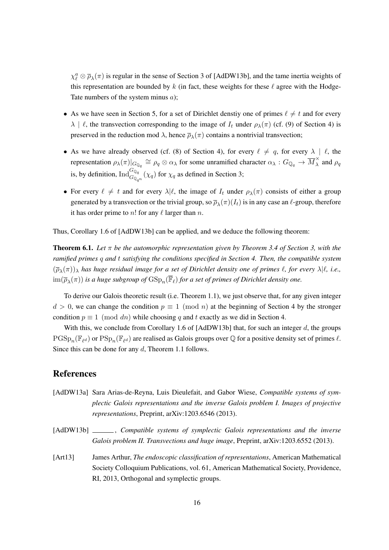$\chi^a_\ell \otimes \bar{\rho}_\lambda(\pi)$  is regular in the sense of Section 3 of [AdDW13b], and the tame inertia weights of this representation are bounded by  $k$  (in fact, these weights for these  $\ell$  agree with the Hodge-Tate numbers of the system minus *a*);

- As we have seen in Section 5, for a set of Dirichlet denstiy one of primes  $\ell \neq t$  and for every *λ* | *ℓ*, the transvection corresponding to the image of  $I_t$  under  $ρ_λ(π)$  (cf. (9) of Section 4) is preserved in the reduction mod  $\lambda$ , hence  $\overline{\rho}_{\lambda}(\pi)$  contains a nontrivial transvection;
- As we have already observed (cf. (8) of Section 4), for every  $\ell \neq q$ , for every  $\lambda \mid \ell$ , the representation  $\rho_\lambda(\pi)|_{G_{\mathbb{Q}_q}} \cong \rho_q \otimes \alpha_\lambda$  for some unramified character  $\alpha_\lambda : G_{\mathbb{Q}_q} \to \overline{M}_{\lambda}^{\times}$  and  $\rho_q$ is, by definition,  $\text{Ind}_{G_{\mathbb{Q}_{q^n}}}^{G_{\mathbb{Q}_q}}(\chi_q)$  for  $\chi_q$  as defined in Section 3;
- For every  $\ell \neq t$  and for every  $\lambda | \ell$ , the image of  $I_t$  under  $\rho_{\lambda}(\pi)$  consists of either a group generated by a transvection or the trivial group, so  $\overline{\rho}_{\lambda}(\pi)(I_t)$  is in any case an  $\ell$ -group, therefore it has order prime to *n*! for any *ℓ* larger than *n*.

Thus, Corollary 1.6 of [AdDW13b] can be applied, and we deduce the following theorem:

Theorem 6.1. *Let π be the automorphic representation given by Theorem 3.4 of Section 3, with the ramified primes q and t satisfying the conditions specified in Section 4. Then, the compatible system* (*ρ<sup>λ</sup>* (*π*))*<sup>λ</sup> has huge residual image for a set of Dirichlet density one of primes ℓ, for every λ|ℓ, i.e.,*  $\lim (\overline{\rho}_\lambda(\pi))$  is a huge subgroup of  $\mathrm{GSp}_n(\mathbb{F}_\ell)$  for a set of primes of Dirichlet density one.

To derive our Galois theoretic result (i.e. Theorem 1.1), we just observe that, for any given integer  $d > 0$ , we can change the condition  $p \equiv 1 \pmod{n}$  at the beginning of Section 4 by the stronger condition  $p \equiv 1 \pmod{dn}$  while choosing *q* and *t* exactly as we did in Section 4.

With this, we conclude from Corollary 1.6 of [AdDW13b] that, for such an integer *d*, the groups  $PGSp_n(\mathbb{F}_{\ell^d})$  or  $PSp_n(\mathbb{F}_{\ell^d})$  are realised as Galois groups over  $\mathbb Q$  for a positive density set of primes  $\ell$ . Since this can be done for any *d*, Theorem 1.1 follows.

### References

- [AdDW13a] Sara Arias-de-Reyna, Luis Dieulefait, and Gabor Wiese, *Compatible systems of symplectic Galois representations and the inverse Galois problem I. Images of projective representations*, Preprint, arXiv:1203.6546 (2013).
- [AdDW13b] \_\_\_\_\_\_\_, *Compatible systems of symplectic Galois representations and the inverse Galois problem II. Transvections and huge image*, Preprint, arXiv:1203.6552 (2013).
- [Art13] James Arthur, *The endoscopic classification of representations*, American Mathematical Society Colloquium Publications, vol. 61, American Mathematical Society, Providence, RI, 2013, Orthogonal and symplectic groups.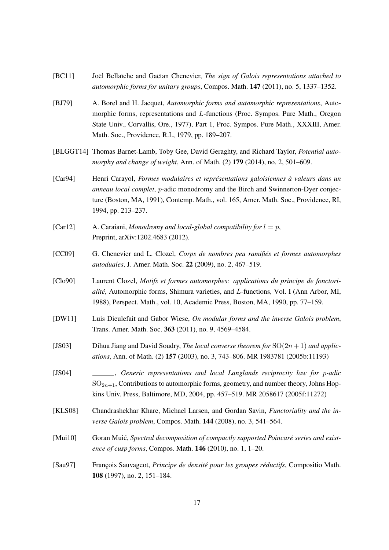- [BC11] Joël Bellaïche and Gaëtan Chenevier, *The sign of Galois representations attached to automorphic forms for unitary groups*, Compos. Math. 147 (2011), no. 5, 1337–1352.
- [BJ79] A. Borel and H. Jacquet, *Automorphic forms and automorphic representations*, Automorphic forms, representations and *L*-functions (Proc. Sympos. Pure Math., Oregon State Univ., Corvallis, Ore., 1977), Part 1, Proc. Sympos. Pure Math., XXXIII, Amer. Math. Soc., Providence, R.I., 1979, pp. 189–207.
- [BLGGT14] Thomas Barnet-Lamb, Toby Gee, David Geraghty, and Richard Taylor, *Potential automorphy and change of weight*, Ann. of Math. (2) 179 (2014), no. 2, 501–609.
- [Car94] Henri Carayol, *Formes modulaires et représentations galoisiennes à valeurs dans un anneau local complet*, *p*-adic monodromy and the Birch and Swinnerton-Dyer conjecture (Boston, MA, 1991), Contemp. Math., vol. 165, Amer. Math. Soc., Providence, RI, 1994, pp. 213–237.
- [Car12] A. Caraiani, *Monodromy and local-global compatibility for*  $l = p$ , Preprint, arXiv:1202.4683 (2012).
- [CC09] G. Chenevier and L. Clozel, *Corps de nombres peu ramifiés et formes automorphes autoduales*, J. Amer. Math. Soc. 22 (2009), no. 2, 467–519.
- [Clo90] Laurent Clozel, *Motifs et formes automorphes: applications du principe de fonctorialité*, Automorphic forms, Shimura varieties, and *L*-functions, Vol. I (Ann Arbor, MI, 1988), Perspect. Math., vol. 10, Academic Press, Boston, MA, 1990, pp. 77–159.
- [DW11] Luis Dieulefait and Gabor Wiese, *On modular forms and the inverse Galois problem*, Trans. Amer. Math. Soc. 363 (2011), no. 9, 4569–4584.
- [JS03] Dihua Jiang and David Soudry, *The local converse theorem for* SO(2*n* + 1) *and applications*, Ann. of Math. (2) 157 (2003), no. 3, 743–806. MR 1983781 (2005b:11193)
- [JS04] , *Generic representations and local Langlands reciprocity law for p-adic*  $SO_{2n+1}$ , Contributions to automorphic forms, geometry, and number theory, Johns Hopkins Univ. Press, Baltimore, MD, 2004, pp. 457–519. MR 2058617 (2005f:11272)
- [KLS08] Chandrashekhar Khare, Michael Larsen, and Gordan Savin, *Functoriality and the inverse Galois problem*, Compos. Math. 144 (2008), no. 3, 541–564.
- [Mui10] Goran Muić, *Spectral decomposition of compactly supported Poincaré series and existence of cusp forms*, Compos. Math. 146 (2010), no. 1, 1–20.
- [Sau97] François Sauvageot, *Principe de densité pour les groupes réductifs*, Compositio Math. 108 (1997), no. 2, 151–184.